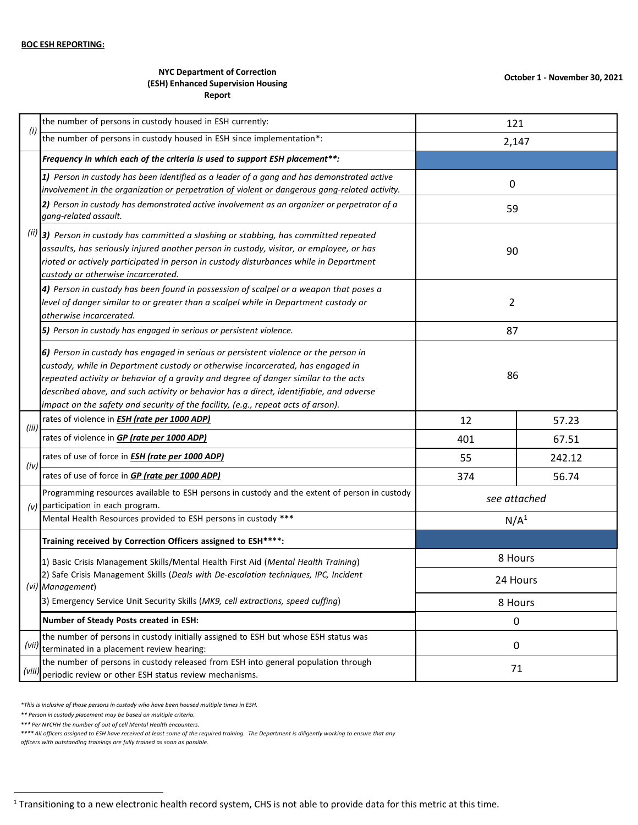## **NYC Department of Correction (ESH) Enhanced Supervision Housing Report**

|        | the number of persons in custody housed in ESH currently:                                                                                                                                                                                                                                                                                                                                                                                  | 121                 |        |
|--------|--------------------------------------------------------------------------------------------------------------------------------------------------------------------------------------------------------------------------------------------------------------------------------------------------------------------------------------------------------------------------------------------------------------------------------------------|---------------------|--------|
| (i)    | the number of persons in custody housed in ESH since implementation*:                                                                                                                                                                                                                                                                                                                                                                      | 2,147               |        |
|        | Frequency in which each of the criteria is used to support ESH placement**:                                                                                                                                                                                                                                                                                                                                                                |                     |        |
|        | 1) Person in custody has been identified as a leader of a gang and has demonstrated active<br>involvement in the organization or perpetration of violent or dangerous gang-related activity.                                                                                                                                                                                                                                               | 0                   |        |
|        | 2) Person in custody has demonstrated active involvement as an organizer or perpetrator of a<br>gang-related assault.                                                                                                                                                                                                                                                                                                                      | 59                  |        |
|        | $(iii)$ 3) Person in custody has committed a slashing or stabbing, has committed repeated<br>assaults, has seriously injured another person in custody, visitor, or employee, or has<br>rioted or actively participated in person in custody disturbances while in Department<br>custody or otherwise incarcerated.                                                                                                                        | 90                  |        |
|        | 4) Person in custody has been found in possession of scalpel or a weapon that poses a<br>level of danger similar to or greater than a scalpel while in Department custody or<br>otherwise incarcerated.                                                                                                                                                                                                                                    | $\overline{2}$      |        |
|        | 5) Person in custody has engaged in serious or persistent violence.                                                                                                                                                                                                                                                                                                                                                                        | 87                  |        |
|        | 6) Person in custody has engaged in serious or persistent violence or the person in<br>custody, while in Department custody or otherwise incarcerated, has engaged in<br>repeated activity or behavior of a gravity and degree of danger similar to the acts<br>described above, and such activity or behavior has a direct, identifiable, and adverse<br>impact on the safety and security of the facility, (e.g., repeat acts of arson). | 86                  |        |
|        | rates of violence in <b>ESH</b> (rate per 1000 ADP)                                                                                                                                                                                                                                                                                                                                                                                        | 12                  | 57.23  |
| (iii)  | rates of violence in GP (rate per 1000 ADP)                                                                                                                                                                                                                                                                                                                                                                                                | 401                 | 67.51  |
| (iv)   | rates of use of force in <b>ESH</b> (rate per 1000 ADP)                                                                                                                                                                                                                                                                                                                                                                                    | 55                  | 242.12 |
|        | rates of use of force in <b>GP (rate per 1000 ADP)</b>                                                                                                                                                                                                                                                                                                                                                                                     | 374                 | 56.74  |
| (v)    | Programming resources available to ESH persons in custody and the extent of person in custody<br>participation in each program.                                                                                                                                                                                                                                                                                                            | see attached        |        |
|        | Mental Health Resources provided to ESH persons in custody ***                                                                                                                                                                                                                                                                                                                                                                             | N/A <sup>1</sup>    |        |
|        | Training received by Correction Officers assigned to ESH****:                                                                                                                                                                                                                                                                                                                                                                              |                     |        |
|        | 1) Basic Crisis Management Skills/Mental Health First Aid (Mental Health Training)<br>2) Safe Crisis Management Skills (Deals with De-escalation techniques, IPC, Incident                                                                                                                                                                                                                                                                 | 8 Hours<br>24 Hours |        |
|        | (vi) Management)                                                                                                                                                                                                                                                                                                                                                                                                                           |                     |        |
|        | 3) Emergency Service Unit Security Skills (MK9, cell extractions, speed cuffing)                                                                                                                                                                                                                                                                                                                                                           | 8 Hours             |        |
|        | Number of Steady Posts created in ESH:                                                                                                                                                                                                                                                                                                                                                                                                     | 0                   |        |
| (vii)  | the number of persons in custody initially assigned to ESH but whose ESH status was<br>terminated in a placement review hearing:                                                                                                                                                                                                                                                                                                           | 0                   |        |
| (viii, | the number of persons in custody released from ESH into general population through<br>periodic review or other ESH status review mechanisms.                                                                                                                                                                                                                                                                                               | 71                  |        |

*\*This is inclusive of those persons in custody who have been housed multiple times in ESH.*

*\*\* Person in custody placement may be based on multiple criteria.*

 $\overline{a}$ 

*\*\*\* Per NYCHH the number of out of cell Mental Health encounters.*

\*\*\*\* All officers assigned to ESH have received at least some of the required training. The Department is diligently working to ensure that any

*officers with outstanding trainings are fully trained as soon as possible.*

 $1$  Transitioning to a new electronic health record system, CHS is not able to provide data for this metric at this time.